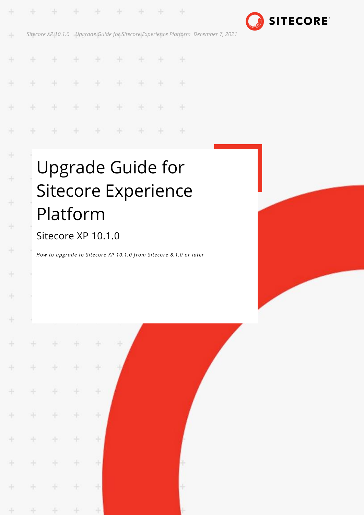

*Sitecore XP 10.1.0 Upgrade Guide for Sitecore Experience Platform December 7, 2021*

÷

æ

×.

æ

\* \* \* \* \*

÷

46

H.

4

÷

÷

÷

÷

÷

÷

-

÷

÷

#### ÷ ÷  $\pm$ ÷ ÷ ÷ æ æ ÷ ¥ ÷ ÷ æ ÷ ÷ 46 Ą. ÷ ÷ ÷ ÷ ÷ ×

÷

# Upgrade Guide for Sitecore Experience Platform

## Sitecore XP 10.1.0

*How to upgrade to Sitecore XP 10.1.0 from Sitecore 8.1.0 or later*

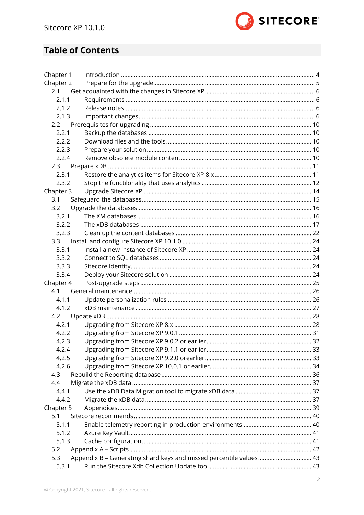

## **Table of Contents**

| Chapter 1 |                                                                    |  |
|-----------|--------------------------------------------------------------------|--|
| Chapter 2 |                                                                    |  |
| 2.1       |                                                                    |  |
| 2.1.1     |                                                                    |  |
| 2.1.2     |                                                                    |  |
| 2.1.3     |                                                                    |  |
| 2.2       |                                                                    |  |
| 2.2.1     |                                                                    |  |
| 2.2.2     |                                                                    |  |
| 2.2.3     |                                                                    |  |
| 2.2.4     |                                                                    |  |
| 2.3       |                                                                    |  |
| 2.3.1     |                                                                    |  |
| 2.3.2     |                                                                    |  |
| Chapter 3 |                                                                    |  |
| 3.1       |                                                                    |  |
| 3.2       |                                                                    |  |
| 3.2.1     |                                                                    |  |
| 3.2.2     |                                                                    |  |
| 3.2.3     |                                                                    |  |
| 3.3       |                                                                    |  |
| 3.3.1     |                                                                    |  |
| 3.3.2     |                                                                    |  |
| 3.3.3     |                                                                    |  |
| 3.3.4     |                                                                    |  |
| Chapter 4 |                                                                    |  |
| 4.1       |                                                                    |  |
| 4.1.1     |                                                                    |  |
| 4.1.2     |                                                                    |  |
| 4.2       |                                                                    |  |
| 4.2.1     |                                                                    |  |
| 4.2.2     |                                                                    |  |
| 4.2.3     |                                                                    |  |
| 4.2.4     |                                                                    |  |
| 4.2.5     |                                                                    |  |
| 4.2.6     |                                                                    |  |
| 4.3       |                                                                    |  |
| 4.4       |                                                                    |  |
| 4.4.1     |                                                                    |  |
| 4.4.2     |                                                                    |  |
| Chapter 5 |                                                                    |  |
| 5.1       |                                                                    |  |
| 5.1.1     |                                                                    |  |
| 5.1.2     |                                                                    |  |
| 5.1.3     |                                                                    |  |
| 5.2       |                                                                    |  |
| 5.3       | Appendix B - Generating shard keys and missed percentile values 43 |  |
| 5.3.1     |                                                                    |  |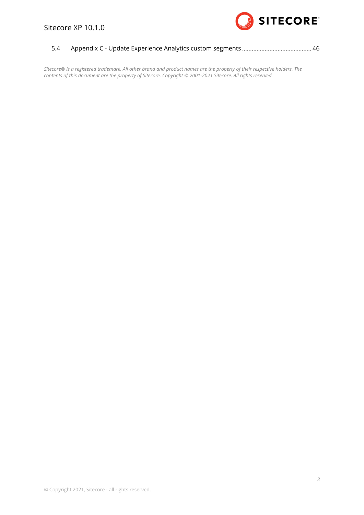

| 5.4 |  |  |
|-----|--|--|
|     |  |  |

*Sitecore® is a registered trademark. All other brand and product names are the property of their respective holders. The contents of this document are the property of Sitecore. Copyright © 2001-2021 Sitecore. All rights reserved.*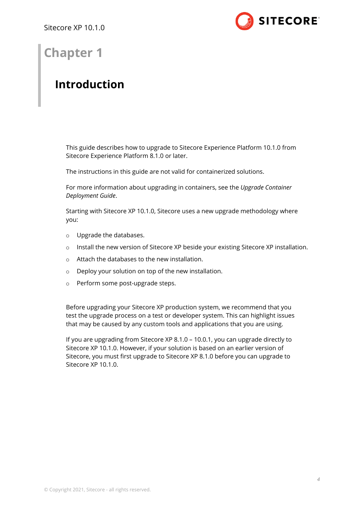

## **Chapter 1**

## <span id="page-3-0"></span>**Introduction**

This guide describes how to upgrade to Sitecore Experience Platform 10.1.0 from Sitecore Experience Platform 8.1.0 or later.

The instructions in this guide are not valid for containerized solutions.

For more information about upgrading in containers, see the *Upgrade Container Deployment Guide*.

Starting with Sitecore XP 10.1.0, Sitecore uses a new upgrade methodology where you:

- o Upgrade the databases.
- o Install the new version of Sitecore XP beside your existing Sitecore XP installation.
- o Attach the databases to the new installation.
- o Deploy your solution on top of the new installation.
- o Perform some post-upgrade steps.

Before upgrading your Sitecore XP production system, we recommend that you test the upgrade process on a test or developer system. This can highlight issues that may be caused by any custom tools and applications that you are using.

If you are upgrading from Sitecore XP 8.1.0 – 10.0.1, you can upgrade directly to Sitecore XP 10.1.0. However, if your solution is based on an earlier version of Sitecore, you must first upgrade to Sitecore XP 8.1.0 before you can upgrade to Sitecore XP 10.1.0.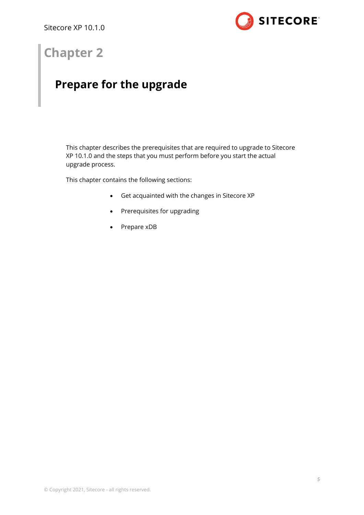

## **Chapter 2**

## <span id="page-4-0"></span>**Prepare for the upgrade**

This chapter describes the prerequisites that are required to upgrade to Sitecore XP 10.1.0 and the steps that you must perform before you start the actual upgrade process.

This chapter contains the following sections:

- [Get acquainted with the changes in Sitecore XP](#page-5-0)
- [Prerequisites for upgrading](#page-9-0)
- [Prepare xDB](#page-10-0)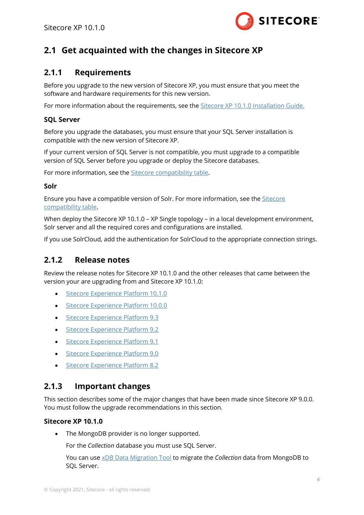

## <span id="page-5-1"></span><span id="page-5-0"></span>**2.1 Get acquainted with the changes in Sitecore XP**

## **2.1.1 Requirements**

Before you upgrade to the new version of Sitecore XP, you must ensure that you meet the software and hardware requirements for this new version.

For more information about the requirements, see the [Sitecore XP 10.1.0 Installation Guide.](https://dev.sitecore.net/Downloads/Sitecore_Experience_Platform/101/Sitecore_Experience_Platform_101.aspx)

#### **SQL Server**

Before you upgrade the databases, you must ensure that your SQL Server installation is compatible with the new version of Sitecore XP.

If your current version of SQL Server is not compatible, you must upgrade to a compatible version of SQL Server before you upgrade or deploy the Sitecore databases.

For more information, see the [Sitecore compatibility table.](https://kb.sitecore.net/articles/087164)

#### **Solr**

Ensure you have a compatible version of Solr. For more information, see the [Sitecore](https://kb.sitecore.net/articles/087164)  [compatibility table.](https://kb.sitecore.net/articles/087164)

When deploy the Sitecore XP 10.1.0 – XP Single topology – in a local development environment, Solr server and all the required cores and configurations are installed.

<span id="page-5-2"></span>If you use SolrCloud, add the authentication for SolrCloud to the appropriate connection strings.

## **2.1.2 Release notes**

Review the release notes for Sitecore XP 10.1.0 and the other releases that came between the version your are upgrading from and Sitecore XP 10.1.0:

- [Sitecore Experience Platform 10.1.0](https://dev.sitecore.net/Downloads/Sitecore%20Experience%20Platform/101/Sitecore%20Experience%20Platform%20101/Release%20Notes)
- [Sitecore Experience Platform 10.0.0](https://dev.sitecore.net/Downloads/Sitecore%20Experience%20Platform/100/Sitecore%20Experience%20Platform%20100/Release%20Notes)
- [Sitecore Experience Platform 9.3](https://dev.sitecore.net/Downloads/Sitecore%20Experience%20Platform/93/Sitecore%20Experience%20Platform%2093%20Initial%20Release/Release%20Notes)
- [Sitecore Experience Platform 9.2](https://dev.sitecore.net/Downloads/Sitecore%20Experience%20Platform/92/Sitecore%20Experience%20Platform%2092%20Initial%20Release/Release%20Notes)
- [Sitecore Experience Platform 9.1](https://dev.sitecore.net/Downloads/Sitecore%20Experience%20Platform/91/Sitecore%20Experience%20Platform%2091%20Initial%20Release/Release%20Notes)
- [Sitecore Experience Platform 9.0](https://dev.sitecore.net/Downloads/Sitecore%20Experience%20Platform/90/Sitecore%20Experience%20Platform%2090%20Initial%20Release/Release%20Notes)
- [Sitecore Experience Platform 8.2](https://dev.sitecore.net/Downloads/Sitecore%20Experience%20Platform/82/Sitecore%20Experience%20Platform%2082%20Initial%20Release/Release%20Notes)

## <span id="page-5-3"></span>**2.1.3 Important changes**

This section describes some of the major changes that have been made since Sitecore XP 9.0.0. You must follow the upgrade recommendations in this section.

#### **Sitecore XP 10.1.0**

• The MongoDB provider is no longer supported.

For the *Collection* database you must use SQL Server.

You can use [xDB Data Migration Tool](https://dev.sitecore.net/Downloads/Sitecore_xDB_Data_Migration_Tool.aspx) to migrate the *Collection* data from MongoDB to SQL Server.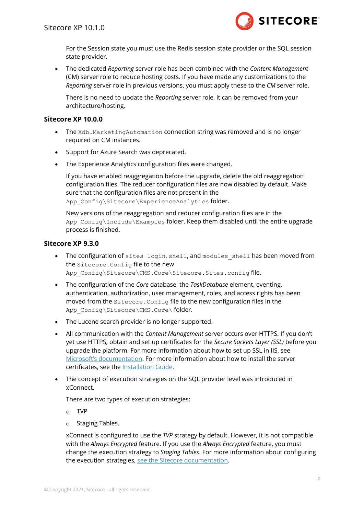

For the Session state you must use the Redis session state provider or the SQL session state provider.

• The dedicated *Reporting* server role has been combined with the *Content Management* (CM) server role to reduce hosting costs. If you have made any customizations to the *Reporting* server role in previous versions, you must apply these to the *CM* server role.

There is no need to update the *Reporting* server role, it can be removed from your architecture/hosting.

#### **Sitecore XP 10.0.0**

- The Xdb. MarketingAutomation connection string was removed and is no longer required on CM instances.
- Support for Azure Search was deprecated.
- The Experience Analytics configuration files were changed.

If you have enabled reaggregation before the upgrade, delete the old reaggregation configuration files. The reducer configuration files are now disabled by default. Make sure that the configuration files are not present in the App Config\Sitecore\ExperienceAnalytics folder.

New versions of the reaggregation and reducer configuration files are in the App\_Config\Include\Examples folder. Keep them disabled until the entire upgrade process is finished.

#### **Sitecore XP 9.3.0**

- The configuration of sites login, shell, and modules shell has been moved from the Sitecore.Config file to the new App\_Config\Sitecore\CMS.Core\Sitecore.Sites.config file.
- The configuration of the *Core* database, the *TaskDatabase* element, eventing, authentication, authorization, user management, roles, and access rights has been moved from the Sitecore.Config file to the new configuration files in the App\_Config\Sitecore\CMS.Core\ folder.
- The Lucene search provider is no longer supported.
- All communication with the *Content Management* server occurs over HTTPS. If you don't yet use HTTPS, obtain and set up certificates for the *Secure Sockets Layer (SSL)* before you upgrade the platform. For more information about how to set up SSL in IIS, see [Microsoft's documentation](https://docs.microsoft.com/en-us/iis/manage/configuring-security/configuring-ssl-in-iis-manager). For more information about how to install the server certificates, see the [Installation Guide.](https://dev.sitecore.net/Downloads/Sitecore_Experience_Platform/101/Sitecore_Experience_Platform_101.aspx)
- The concept of execution strategies on the SQL provider level was introduced in xConnect.

There are two types of execution strategies:

- o TVP
- o Staging Tables.

xConnect is configured to use the *TVP* strategy by default. However, it is not compatible with the *Always Encrypted* feature. If you use the *Always Encrypted* feature, you must change the execution strategy to *Staging Tables*. For more information about configuring the execution strategies, [see the Sitecore documentation.](https://doc.sitecore.com/developers/93/platform-administration-and-architecture/en/configure-the-tvp-or-staging-tables-execution-strategy-for-the-xdb-collection-sql-provider.html)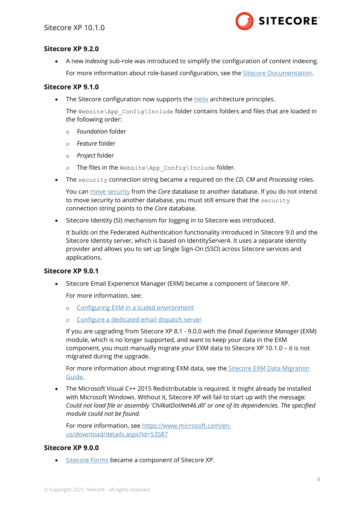

#### **Sitecore XP 9.2.0**

• A new *Indexing* sub-role was introduced to simplify the configuration of content indexing. For more information about role-based configuration, see the [Sitecore Documentation.](https://doc.sitecore.com/)

#### **Sitecore XP 9.1.0**

• The Sitecore configuration now supports th[e Helix](https://helix.sitecore.com/introduction/index.html) architecture principles.

The Website\App\_Config\Include folder contains folders and files that are loaded in the following order:

- o *Foundation* folder
- o *Feature* folder
- o *Project* folder
- o The files in the Website\App\_Config\Include folder.
- The security connection string became a required on the *CD*, *CM* and *Processing* roles.

You can [move security](https://doc.sitecore.com/developers/101/platform-administration-and-architecture/en/walkthrough--moving-security-data-to-a-separate-database.html) from the *Core* database to another database. If you do not intend to move security to another database, you must still ensure that the security connection string points to the *Core* database.

• Sitecore Identity (SI) mechanism for logging in to Sitecore was introduced.

It builds on the Federated Authentication functionality introduced in Sitecore 9.0 and the Sitecore Identity server, which is based on IdentityServer4. It uses a separate identity provider and allows you to set up Single Sign-On (SSO) across Sitecore services and applications.

#### **Sitecore XP 9.0.1**

• Sitecore Email Experience Manager (EXM) became a component of Sitecore XP.

For more information, see:

- o [Configuring EXM in a scaled environment](https://doc.sitecore.com/developers/exm/101/email-experience-manager/en/configuring-exm-in-a-scaled-environment.html)
- o [Configure a dedicated email dispatch server](https://doc.sitecore.com/developers/exm/101/email-experience-manager/en/configure-a-dedicated-email-dispatch-server.html)

If you are upgrading from Sitecore XP 8.1 - 9.0.0 with the *Email Experience Manager* (EXM) module, which is no longer supported, and want to keep your data in the EXM component, you must manually migrate your EXM data to Sitecore XP 10.1.0 – it is not migrated during the upgrade.

For more information about migrating EXM data, see the [Sitecore EXM Data Migration](https://dev.sitecore.net/Downloads/Email_Experience_Manager/90/Email_Experience_Manager_in_Sitecore_90_Update2.aspx)  [Guide.](https://dev.sitecore.net/Downloads/Email_Experience_Manager/90/Email_Experience_Manager_in_Sitecore_90_Update2.aspx)

• The Microsoft Visual C++ 2015 Redistributable is required. It might already be installed with Microsoft Windows. Without it, Sitecore XP will fail to start up with the message: *Could not load file or assembly 'ChilkatDotNet46.dll' or one of its dependencies. The specified module could not be found.*

For more information, see [https://www.microsoft.com/en](https://www.microsoft.com/en-us/download/details.aspx?id=53587)[us/download/details.aspx?id=53587](https://www.microsoft.com/en-us/download/details.aspx?id=53587)

#### **Sitecore XP 9.0.0**

• [Sitecore Forms](https://doc.sitecore.com/developers/101/sitecore-experience-manager/en/sitecore-forms.html) became a component of Sitecore XP.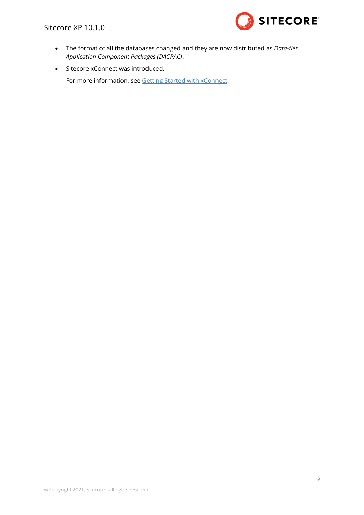Sitecore XP 10.1.0



- The format of all the databases changed and they are now distributed as *Data-tier Application Component Packages (DACPAC)*.
- Sitecore xConnect was introduced.

For more information, see [Getting Started with xConnect.](https://doc.sitecore.com/developers/101/sitecore-experience-platform/en/getting-started-with-xconnect.html)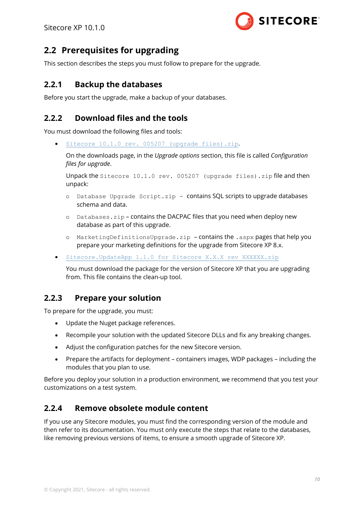

## <span id="page-9-0"></span>**2.2 Prerequisites for upgrading**

<span id="page-9-1"></span>This section describes the steps you must follow to prepare for the upgrade.

## **2.2.1 Backup the databases**

<span id="page-9-2"></span>Before you start the upgrade, make a backup of your databases.

## **2.2.2 Download files and the tools**

You must download the following files and tools:

• [Sitecore 10.1.0 rev. 005207](https://dev.sitecore.net/Downloads/Sitecore_Experience_Platform/101/Sitecore_Experience_Platform_101.aspx) (upgrade files).zip.

On the downloads page, in the *Upgrade options* section, this file is called *Configuration files for upgrade*.

Unpack the Sitecore 10.1.0 rev. 005207 (upgrade files).zip file and then unpack:

- o Database Upgrade Script.zip contains SQL scripts to upgrade databases schema and data.
- $o$  Databases.  $zip$  contains the DACPAC files that you need when deploy new database as part of this upgrade.
- o MarketingDefinitionsUpgrade.zip contains the .aspx pages that help you prepare your marketing definitions for the upgrade from Sitecore XP 8.x.
- [Sitecore.UpdateApp 1.1.0 for Sitecore X.X.X](https://dev.sitecore.net/Downloads/Sitecore%20UpdateApp%20Tool/1x/Sitecore%20UpdateApp%20Tool%20110) rev XXXXXX.zip

You must download the package for the version of Sitecore XP that you are upgrading from. This file contains the clean-up tool.

## <span id="page-9-3"></span>**2.2.3 Prepare your solution**

To prepare for the upgrade, you must:

- Update the Nuget package references.
- Recompile your solution with the updated Sitecore DLLs and fix any breaking changes.
- Adjust the configuration patches for the new Sitecore version.
- Prepare the artifacts for deployment containers images, WDP packages including the modules that you plan to use.

Before you deploy your solution in a production environment, we recommend that you test your customizations on a test system.

## <span id="page-9-4"></span>**2.2.4 Remove obsolete module content**

If you use any Sitecore modules, you must find the corresponding version of the module and then refer to its documentation. You must only execute the steps that relate to the databases, like removing previous versions of items, to ensure a smooth upgrade of Sitecore XP.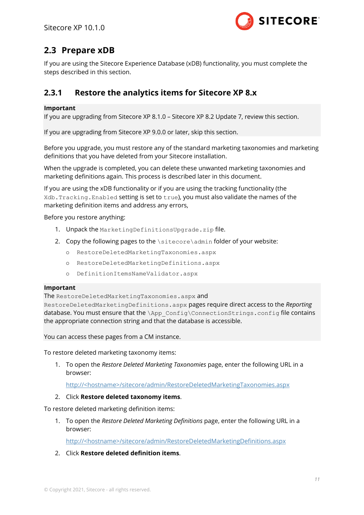

## <span id="page-10-0"></span>**2.3 Prepare xDB**

If you are using the Sitecore Experience Database (xDB) functionality, you must complete the steps described in this section.

## <span id="page-10-1"></span>**2.3.1 Restore the analytics items for Sitecore XP 8.x**

#### **Important**

If you are upgrading from Sitecore XP 8.1.0 – Sitecore XP 8.2 Update 7, review this section.

If you are upgrading from Sitecore XP 9.0.0 or later, skip this section.

Before you upgrade, you must restore any of the standard marketing taxonomies and marketing definitions that you have deleted from your Sitecore installation.

When the upgrade is completed, you can delete these unwanted marketing taxonomies and marketing definitions again. This process is described later in this document.

If you are using the xDB functionality or if you are using the tracking functionality (the Xdb.Tracking.Enabled setting is set to true), you must also validate the names of the marketing definition items and address any errors,

Before you restore anything:

- 1. Unpack the Marketing Definitions Upgrade. zip file.
- 2. Copy the following pages to the  $\simeq \simeq \simeq \simeq 1$  folder of your website:
	- o RestoreDeletedMarketingTaxonomies.aspx
	- o RestoreDeletedMarketingDefinitions.aspx
	- o DefinitionItemsNameValidator.aspx

#### **Important**

The RestoreDeletedMarketingTaxonomies.aspx and

RestoreDeletedMarketingDefinitions.aspx pages require direct access to the *Reporting* database. You must ensure that the  $\lambda_{\text{app}}$  Config $\cdot$ ConnectionStrings.config file contains the appropriate connection string and that the database is accessible.

You can access these pages from a CM instance.

To restore deleted marketing taxonomy items:

1. To open the *Restore Deleted Marketing Taxonomies* page, enter the following URL in a browser:

http://<hostname>/sitecore/admin/RestoreDeletedMarketingTaxonomies.aspx

#### 2. Click **Restore deleted taxonomy items**.

To restore deleted marketing definition items:

1. To open the *Restore Deleted Marketing Definitions* page, enter the following URL in a browser:

http://<hostname>/sitecore/admin/RestoreDeletedMarketingDefinitions.aspx

2. Click **Restore deleted definition items**.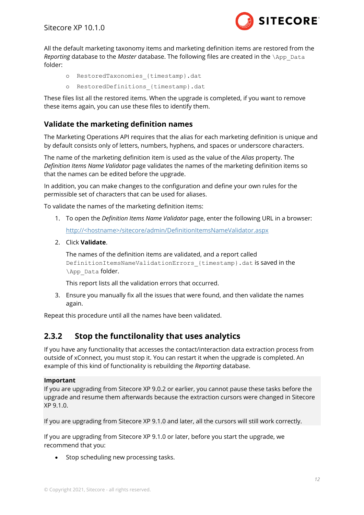

All the default marketing taxonomy items and marketing definition items are restored from the *Reporting* database to the *Master* database. The following files are created in the \App\_Data folder:

- o RestoredTaxonomies\_{timestamp}.dat
- o RestoredDefinitions {timestamp}.dat

These files list all the restored items. When the upgrade is completed, if you want to remove these items again, you can use these files to identify them.

### **Validate the marketing definition names**

The Marketing Operations API requires that the alias for each marketing definition is unique and by default consists only of letters, numbers, hyphens, and spaces or underscore characters.

The name of the marketing definition item is used as the value of the *Alias* property. The *Definition Items Name Validator* page validates the names of the marketing definition items so that the names can be edited before the upgrade.

In addition, you can make changes to the configuration and define your own rules for the permissible set of characters that can be used for aliases.

To validate the names of the marketing definition items:

- 1. To open the *Definition Items Name Validator* page, enter the following URL in a browser: http://<hostname>/sitecore/admin/DefinitionItemsNameValidator.aspx
- 2. Click **Validate**.

The names of the definition items are validated, and a report called DefinitionItemsNameValidationErrors\_{timestamp}.dat is saved in the \App\_Data folder.

This report lists all the validation errors that occurred.

3. Ensure you manually fix all the issues that were found, and then validate the names again.

<span id="page-11-0"></span>Repeat this procedure until all the names have been validated.

## **2.3.2 Stop the functilonality that uses analytics**

If you have any functionality that accesses the contact/interaction data extraction process from outside of xConnect, you must stop it. You can restart it when the upgrade is completed. An example of this kind of functionality is rebuilding the *Reporting* database.

#### **Important**

If you are upgrading from Sitecore XP 9.0.2 or earlier, you cannot pause these tasks before the upgrade and resume them afterwards because the extraction cursors were changed in Sitecore XP 9.1.0.

If you are upgrading from Sitecore XP 9.1.0 and later, all the cursors will still work correctly.

If you are upgrading from Sitecore XP 9.1.0 or later, before you start the upgrade, we recommend that you:

• Stop scheduling new processing tasks.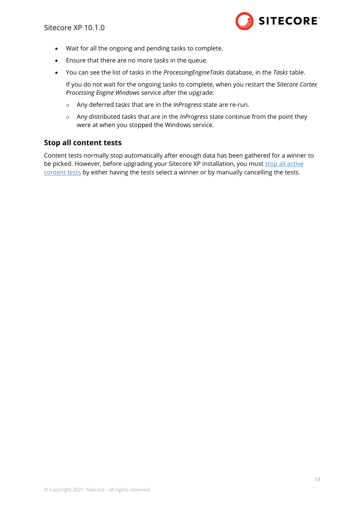

- Wait for all the ongoing and pending tasks to complete.
- Ensure that there are no more tasks in the queue.
- You can see the list of tasks in the *ProcessingEngineTasks* database, in the *Tasks* table.

If you do not wait for the ongoing tasks to complete, when you restart the *Sitecore Cortex Processing Engine Windows* service after the upgrade:

- o Any deferred tasks that are in the *InProgress* state are re-run.
- o Any distributed tasks that are in the *InProgress* state continue from the point they were at when you stopped the Windows service.

#### **Stop all content tests**

Content tests normally stop automatically after enough data has been gathered for a winner to be picked. However, before upgrading your Sitecore XP installation, you must stop all active [content tests](https://doc.sitecore.com/users/101/sitecore-experience-platform/en/cancel-active-tests.html) by either having the tests select a winner or by manually cancelling the tests.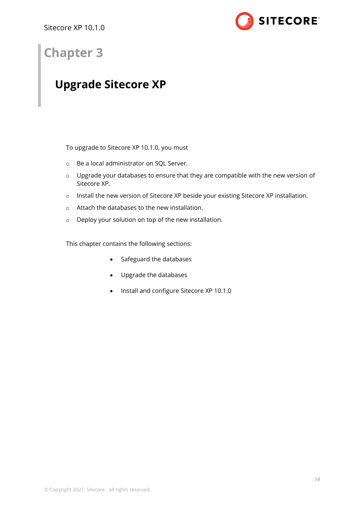

## **Chapter 3**

## <span id="page-13-0"></span>**Upgrade Sitecore XP**

To upgrade to Sitecore XP 10.1.0, you must

- o Be a local administrator on SQL Server.
- o Upgrade your databases to ensure that they are compatible with the new version of Sitecore XP.
- o Install the new version of Sitecore XP beside your existing Sitecore XP installation.
- o Attach the databases to the new installation.
- o Deploy your solution on top of the new installation.

This chapter contains the following sections:

- [Safeguard the databases](#page-14-0)
- [Upgrade the databases](#page-15-0)
- [Install and configure](#page-23-0) Sitecore XP 10.1.0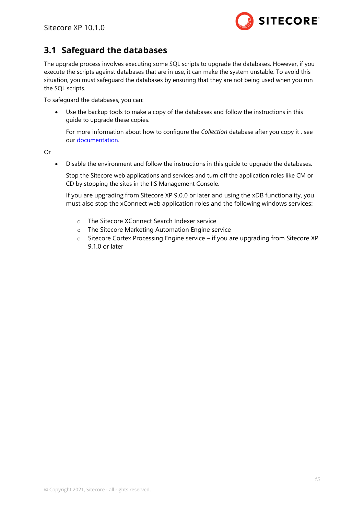

## <span id="page-14-0"></span>**3.1 Safeguard the databases**

The upgrade process involves executing some SQL scripts to upgrade the databases. However, if you execute the scripts against databases that are in use, it can make the system unstable. To avoid this situation, you must safeguard the databases by ensuring that they are not being used when you run the SQL scripts.

To safeguard the databases, you can:

• Use the backup tools to make a copy of the databases and follow the instructions in this guide to upgrade these copies.

For more information about how to configure the *Collection* database after you copy it , see our [documentation.](https://doc.sitecore.com/developers/101/platform-administration-and-architecture/en/rename-an-xdb-collection-database-shard.html)

Or

• Disable the environment and follow the instructions in this guide to upgrade the databases.

Stop the Sitecore web applications and services and turn off the application roles like CM or CD by stopping the sites in the IIS Management Console.

If you are upgrading from Sitecore XP 9.0.0 or later and using the xDB functionality, you must also stop the xConnect web application roles and the following windows services:

- o The Sitecore XConnect Search Indexer service
- o The Sitecore Marketing Automation Engine service
- $\circ$  Sitecore Cortex Processing Engine service if you are upgrading from Sitecore XP 9.1.0 or later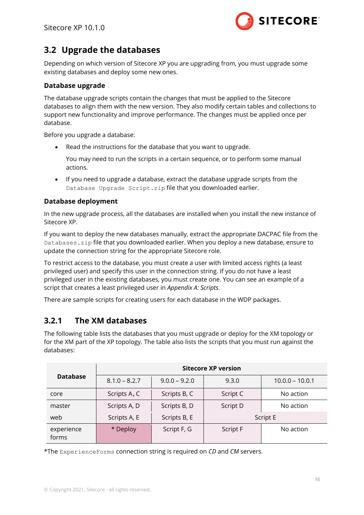

## <span id="page-15-0"></span>**3.2 Upgrade the databases**

Depending on which version of Sitecore XP you are upgrading from, you must upgrade some existing databases and deploy some new ones.

#### **Database upgrade**

The database upgrade scripts contain the changes that must be applied to the Sitecore databases to align them with the new version. They also modify certain tables and collections to support new functionality and improve performance. The changes must be applied once per database.

Before you upgrade a database:

Read the instructions for the database that you want to upgrade.

You may need to run the scripts in a certain sequence, or to perform some manual actions.

• If you need to upgrade a database, extract the database upgrade scripts from the Database Upgrade Script.zip file that you downloaded earlier.

#### **Database deployment**

In the new upgrade process, all the databases are installed when you install the new instance of Sitecore XP.

If you want to deploy the new databases manually, extract the appropriate DACPAC file from the Databases.zip file that you downloaded earlier. When you deploy a new database, ensure to update the connection string for the appropriate Sitecore role.

To restrict access to the database, you must create a user with limited access rights (a least privileged user) and specify this user in the connection string. If you do not have a least privileged user in the existing databases, you must create one. You can see an example of a script that creates a least privileged user in *Appendix A: Scripts*.

<span id="page-15-1"></span>There are sample scripts for creating users for each database in the WDP packages.

## **3.2.1 The XM databases**

The following table lists the databases that you must upgrade or deploy for the XM topology or for the XM part of the XP topology. The table also lists the scripts that you must run against the databases:

|                     |                 |                 | <b>Sitecore XP version</b> |                   |
|---------------------|-----------------|-----------------|----------------------------|-------------------|
| <b>Database</b>     | $8.1.0 - 8.2.7$ | $9.0.0 - 9.2.0$ | 9.3.0                      | $10.0.0 - 10.0.1$ |
| core                | Scripts A, C    | Scripts B, C    | Script C                   | No action         |
| master              | Scripts A, D    | Scripts B, D    | Script D                   | No action         |
| web                 | Scripts A, E    | Scripts B, E    |                            | Script E          |
| experience<br>forms | * Deploy        | Script F, G     | <b>Script F</b>            | No action         |

\*The ExperienceForms connection string is required on *CD* and *CM* servers.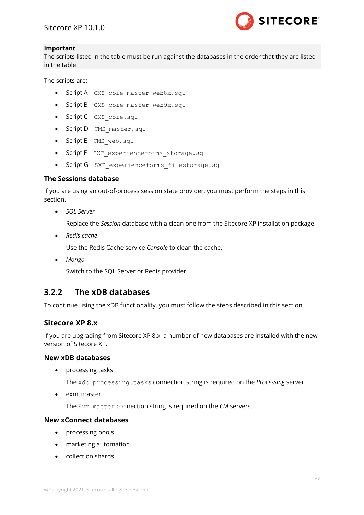

#### **Important**

The scripts listed in the table must be run against the databases in the order that they are listed in the table.

The scripts are:

- Script A-CMS core master web8x.sql
- Script B CMS core master web9x.sql
- Script C-CMS core.sql
- Script D CMS master.sql
- Script E CMS web.sql
- Script F SXP experienceforms storage.sql
- Script G SXP\_experienceforms\_filestorage.sql

#### **The Sessions database**

If you are using an out-of-process session state provider, you must perform the steps in this section.

• *SQL Server*

Replace the *Session* database with a clean one from the Sitecore XP installation package.

• *Redis cache*

Use the Redis Cache service *Console* to clean the cache.

• *Mongo*

Switch to the SQL Server or Redis provider.

## <span id="page-16-0"></span>**3.2.2 The xDB databases**

To continue using the xDB functionality, you must follow the steps described in this section.

#### **Sitecore XP 8.x**

If you are upgrading from Sitecore XP 8.x, a number of new databases are installed with the new version of Sitecore XP.

#### **New xDB databases**

• processing tasks

The xdb.processing.tasks connection string is required on the *Processing* server.

• exm\_master

The Exm.master connection string is required on the *CM* servers.

#### **New xConnect databases**

- processing pools
- marketing automation
- collection shards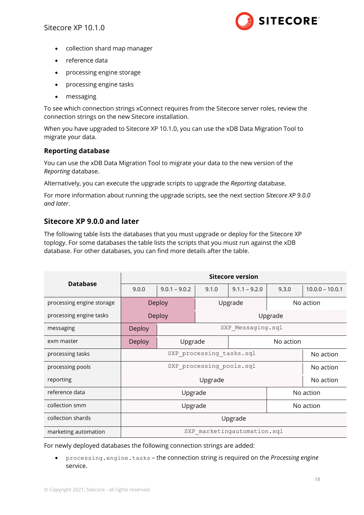

- collection shard map manager
- reference data
- processing engine storage
- processing engine tasks
- messaging

To see which connection strings xConnect requires from the Sitecore server roles, review the connection strings on the new Sitecore installation.

When you have upgraded to Sitecore XP 10.1.0, you can use the xDB Data Migration Tool to migrate your data.

#### **Reporting database**

You can use the xDB Data Migration Tool to [migrate your data](#page-36-0) to the new version of the *Reporting* database.

Alternatively, you can execute the upgrade scripts to upgrade the *Reporting* database.

For more information about running the upgrade scripts, see the next section *[Sitecore XP 9.0.0](#page-17-0)  [and later](#page-17-0)*.

### <span id="page-17-0"></span>**Sitecore XP 9.0.0 and later**

The following table lists the databases that you must upgrade or deploy for the Sitecore XP toplogy. For some databases the table lists the scripts that you must run against the xDB database. For other databases, you can find more details after the table.

|                           | <b>Sitecore version</b> |                 |                          |                             |           |                   |  |
|---------------------------|-------------------------|-----------------|--------------------------|-----------------------------|-----------|-------------------|--|
| <b>Database</b>           | 9.0.0                   | $9.0.1 - 9.0.2$ | 9.1.0                    | $9.1.1 - 9.2.0$             | 9.3.0     | $10.0.0 - 10.0.1$ |  |
| processing engine storage |                         | Deploy          |                          | Upgrade                     |           | No action         |  |
| processing engine tasks   |                         | Deploy          |                          | Upgrade                     |           |                   |  |
| messaging                 | Deploy                  |                 |                          | SXP Messaging.sql           |           |                   |  |
| exm master                | Deploy                  | Upgrade         |                          |                             | No action |                   |  |
| processing tasks          |                         |                 |                          | SXP processing tasks.sql    |           | No action         |  |
| processing pools          |                         |                 | SXP processing pools.sql |                             |           | No action         |  |
| reporting                 |                         |                 | Upgrade                  |                             |           | No action         |  |
| reference data            | Upgrade                 |                 |                          |                             |           | No action         |  |
| collection smm            |                         |                 | Upgrade                  |                             |           | No action         |  |
| collection shards         |                         |                 |                          | Upgrade                     |           |                   |  |
| marketing automation      |                         |                 |                          | SXP marketingautomation.sql |           |                   |  |

For newly deployed databases the following connection strings are added:

• processing.engine.tasks – the connection string is required on the *Processing engine* service.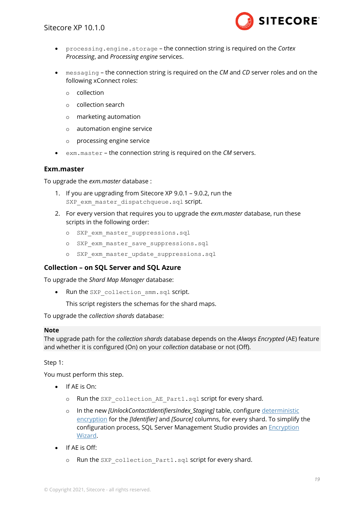

- processing.engine.storage the connection string is required on the *Cortex Processing*, and *Processing engine* services.
- messaging the connection string is required on the *CM* and *CD* server roles and on the following xConnect roles:
	- o collection
	- o collection search
	- o marketing automation
	- o automation engine service
	- o processing engine service
- exm.master the connection string is required on the *CM* servers.

#### **Exm.master**

To upgrade the *exm.master* database :

- 1. If you are upgrading from Sitecore XP 9.0.1 9.0.2, run the SXP exm master dispatchqueue.sql script.
- 2. For every version that requires you to upgrade the *exm.master* database, run these scripts in the following order:
	- o SXP exm master suppressions.sql
	- o SXP exm master save suppressions.sql
	- o SXP exm master update suppressions.sql

#### **Collection – on SQL Server and SQL Azure**

To upgrade the *Shard Map Manager* database:

• Run the SXP collection smm.sql script.

This script registers the schemas for the shard maps.

To upgrade the *collection shards* database:

#### **Note**

The upgrade path for the *collection shards* database depends on the *Always Encrypted* (AE) feature and whether it is configured (On) on your *collection* database or not (Off).

Step 1:

You must perform this step.

- If AE is On:
	- o Run the SXP collection AE Part1.sql script for every shard.
	- o In the new *[UnlockContactIdentifiersIndex\_Staging]* table, configure [deterministic](https://docs.microsoft.com/en-us/sql/relational-databases/security/encryption/always-encrypted-database-engine?view=sql-server-2017#selecting--deterministic-or-randomized-encryption)  [encryption](https://docs.microsoft.com/en-us/sql/relational-databases/security/encryption/always-encrypted-database-engine?view=sql-server-2017#selecting--deterministic-or-randomized-encryption) for the *[Identifier]* and *[Source]* columns, for every shard. To simplify the configuration process, SQL Server Management Studio provides an [Encryption](https://blogs.msdn.microsoft.com/sqlsecurity/2015/10/31/ssms-encryption-wizard-enabling-always-encrypted-in-a-few-easy-steps/)  [Wizard.](https://blogs.msdn.microsoft.com/sqlsecurity/2015/10/31/ssms-encryption-wizard-enabling-always-encrypted-in-a-few-easy-steps/)
- If AE is Off:
	- o Run the SXP collection Part1.sql script for every shard.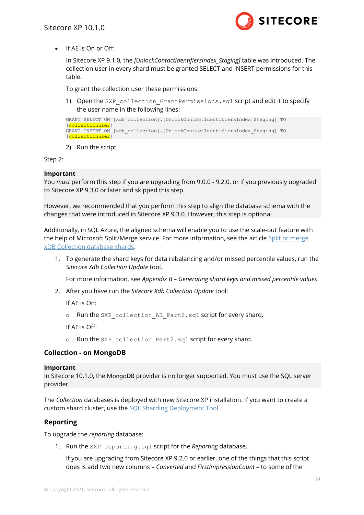

• If AE is On or Off:

In Sitecore XP 9.1.0, the *[UnlockContactIdentifiersIndex\_Staging]* table was introduced. The collection user in every shard must be granted SELECT and INSERT permissions for this table.

To grant the collection user these permissions:

1) Open the SXP collection GrantPermissions.sql script and edit it to specify the user name in the following lines:

```
GRANT SELECT ON [xdb_collection].[UnlockContactIdentifiersIndex_Staging] TO 
[collectionuser]
GRANT INSERT ON [xdb collection].[UnlockContactIdentifiersIndex Staging] TO
[collectionuser]
```
2) Run the script.

Step 2:

#### **Important**

You *must* perform this step if you are upgrading from 9.0.0 - 9.2.0, or if you previously upgraded to Sitecore XP 9.3.0 or later and skipped this step

However, we recommended that you perform this step to align the database schema with the changes that were introduced in Sitecore XP 9.3.0. However, this step is optional

Additionally, in SQL Azure, the aligned schema will enable you to use the scale-out feature with the help of Microsoft Split/Merge service. For more information, see the article Split or merge [xDB Collection database shards.](https://doc.sitecore.com/developers/101/platform-administration-and-architecture/en/split-or-merge-xdb-collection-database-shards.html)

1. To generate the shard keys for data rebalancing and/or missed percentile values, run the *Sitecore Xdb Collection Update* tool.

For more information, see *Appendix B – Generating [shard keys and missed percentile values](#page-42-0)*.

2. After you have run the *Sitecore Xdb Collection Update* tool:

If AE is On:

o Run the SXP collection AE Part2.sql script for every shard.

If AE is Off:

o Run the SXP collection Part2.sql script for every shard.

#### **Collection - on MongoDB**

#### **Important**

In Sitecore 10.1.0, the MongoDB provider is no longer supported. You must use the SQL server provider.

The *Collection* databases is deployed with new Sitecore XP installation. If you want to create a custom shard cluster, use the [SQL Sharding Deployment Tool.](https://doc.sitecore.com/developers/101/platform-administration-and-architecture/en/the-sql-sharding-deployment-tool.html)

#### **Reporting**

To upgrade the *reporting* database:

1. Run the SXP reporting.sql script for the *Reporting* database.

If you are upgrading from Sitecore XP 9.2.0 or earlier, one of the things that this script does is add two new columns – *Converted* and *FirstImpressionCount* – to some of the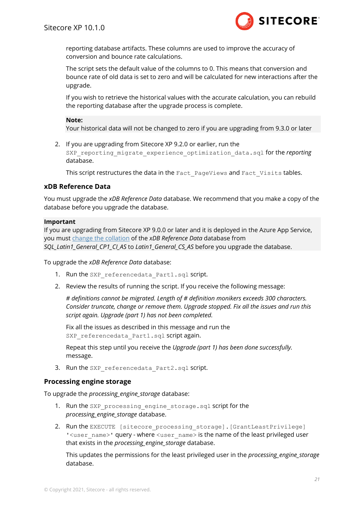

reporting database artifacts. These columns are used to improve the accuracy of conversion and bounce rate calculations.

The script sets the default value of the columns to 0. This means that conversion and bounce rate of old data is set to zero and will be calculated for new interactions after the upgrade.

If you wish to retrieve the historical values with the accurate calculation, you can rebuild the reporting database after the upgrade process is complete.

#### **Note:**

Your historical data will not be changed to zero if you are upgrading from 9.3.0 or later

2. If you are upgrading from Sitecore XP 9.2.0 or earlier, run the SXP\_reporting\_migrate\_experience\_optimization\_data.sql for the *reporting* database.

This script restructures the data in the Fact PageViews and Fact Visits tables.

#### **xDB Reference Data**

You must upgrade the *xDB Reference Data* database. We recommend that you make a copy of the database before you upgrade the database.

#### **Important**

If you are upgrading from Sitecore XP 9.0.0 or later and it is deployed in the Azure App Service, you must [change the collation](https://kb.sitecore.net/articles/364171) of the *xDB Reference Data* database from *SQL\_Latin1\_General\_CP1\_CI\_AS* to *Latin1\_General\_CS\_AS* before you upgrade the database.

To upgrade the *xDB Reference Data* database:

- 1. Run the SXP referencedata Part1.sql script.
- 2. Review the results of running the script. If you receive the following message:

*# definitions cannot be migrated. Length of # definition monikers exceeds 300 characters. Consider truncate, change or remove them. Upgrade stopped. Fix all the issues and run this script again. Upgrade (part 1) has not been completed.*

Fix all the issues as described in this message and run the SXP\_referencedata\_Part1.sql script again.

Repeat this step until you receive the *Upgrade (part 1) has been done successfully.* message.

3. Run the SXP referencedata Part2.sql script.

#### **Processing engine storage**

To upgrade the *processing\_engine\_storage* database:

- 1. Run the SXP processing engine storage.sql script for the *processing\_engine\_storage* database.
- 2. Run the EXECUTE [sitecore processing storage].[GrantLeastPrivilege] '<user\_name>' query - where <user\_name> is the name of the least privileged user that exists in the *processing\_engine\_storage* database.

This updates the permissions for the least privileged user in the *processing\_engine\_storage* database.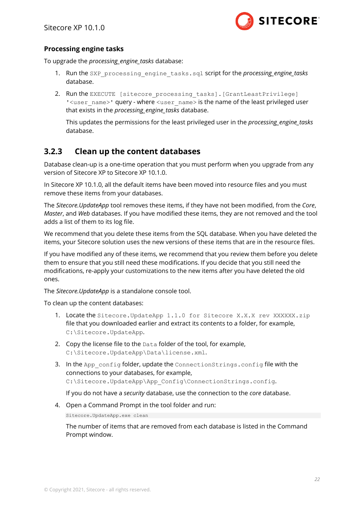

#### **Processing engine tasks**

To upgrade the *processing\_engine\_tasks* database:

- 1. Run the SXP\_processing\_engine\_tasks.sql script for the *processing engine tasks* database.
- 2. Run the EXECUTE [sitecore processing tasks].[GrantLeastPrivilege] ' <user\_name>' query - where <user\_name> is the name of the least privileged user that exists in the *processing\_engine\_tasks* database.

This updates the permissions for the least privileged user in the *processing\_engine\_tasks* database.

## <span id="page-21-0"></span>**3.2.3 Clean up the content databases**

Database clean-up is a one-time operation that you must perform when you upgrade from any version of Sitecore XP to Sitecore XP 10.1.0.

In Sitecore XP 10.1.0, all the default items have been moved into resource files and you must remove these items from your databases.

The *Sitecore.UpdateApp* tool removes these items, if they have not been modified, from the *Core*, *Master*, and *Web* databases. If you have modified these items, they are not removed and the tool adds a list of them to its log file.

We recommend that you delete these items from the SQL database. When you have deleted the items, your Sitecore solution uses the new versions of these items that are in the resource files.

If you have modified any of these items, we recommend that you review them before you delete them to ensure that you still need these modifications. If you decide that you still need the modifications, re-apply your customizations to the new items after you have deleted the old ones.

The *Sitecore.UpdateApp* is a standalone console tool.

To clean up the content databases:

- 1. Locate the Sitecore.UpdateApp 1.1.0 for Sitecore X.X.X rev XXXXXX.zip file that you downloaded earlier and extract its contents to a folder, for example, C:\Sitecore.UpdateApp.
- 2. Copy the license file to the Data folder of the tool, for example, C:\Sitecore.UpdateApp\Data\license.xml.
- 3. In the App\_config folder, update the ConnectionStrings.config file with the connections to your databases, for example, C:\Sitecore.UpdateApp\App\_Config\ConnectionStrings.config.

If you do not have a *security* database, use the connection to the *core* database.

4. Open a Command Prompt in the tool folder and run:

Sitecore.UpdateApp.exe clean

The number of items that are removed from each database is listed in the Command Prompt window.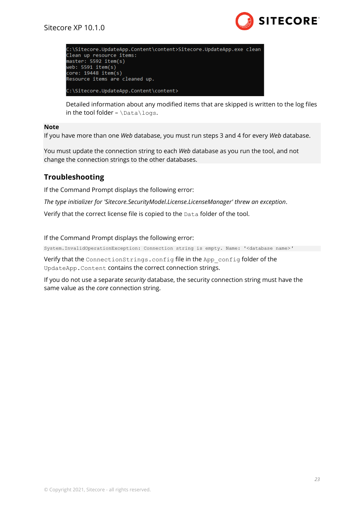

| C:\Sitecore.UpdateApp.Content\content>Sitecore.UpdateApp.exe clean<br>Clean up resource items:<br>master: 5592 item(s)<br>web: 5591 item(s)<br>core: 19448 item(s)<br>Resource items are cleaned up. |  |
|------------------------------------------------------------------------------------------------------------------------------------------------------------------------------------------------------|--|
| C:\Sitecore.UndateAnn.Content\content>                                                                                                                                                               |  |

Detailed information about any modified items that are skipped is written to the log files in the tool folder -  $\Delta\log s$ .

#### **Note**

If you have more than one *Web* database, you must run steps 3 and 4 for every *Web* database.

You must update the connection string to each *Web* database as you run the tool, and not change the connection strings to the other databases.

### **Troubleshooting**

If the Command Prompt displays the following error:

*The type initializer for 'Sitecore.SecurityModel.License.LicenseManager' threw an exception*.

Verify that the correct license file is copied to the Data folder of the tool.

If the Command Prompt displays the following error:

System.InvalidOperationException: Connection string is empty. Name: '<database name>*'*

Verify that the ConnectionStrings.config file in the App\_config folder of the UpdateApp.Content contains the correct connection strings.

If you do not use a separate *security* database, the security connection string must have the same value as the *core* connection string.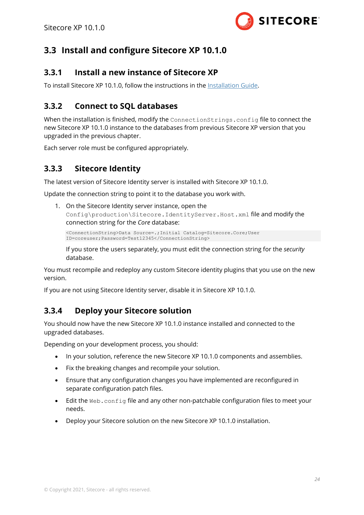

## <span id="page-23-1"></span><span id="page-23-0"></span>**3.3 Install and configure Sitecore XP 10.1.0**

## **3.3.1 Install a new instance of Sitecore XP**

<span id="page-23-2"></span>To install Sitecore XP 10.1.0, follow the instructions in th[e Installation Guide.](https://dev.sitecore.net/Downloads/Sitecore_Experience_Platform/101/Sitecore_Experience_Platform_101.aspx)

## **3.3.2 Connect to SQL databases**

When the installation is finished, modify the ConnectionStrings.config file to connect the new Sitecore XP 10.1.0 instance to the databases from previous Sitecore XP version that you upgraded in the previous chapter.

<span id="page-23-3"></span>Each server role must be configured appropriately.

## **3.3.3 Sitecore Identity**

The latest version of Sitecore Identity server is installed with Sitecore XP 10.1.0.

Update the connection string to point it to the database you work with.

1. On the Sitecore Identity server instance, open the Config\production\Sitecore.IdentityServer.Host.xml file and modify the connection string for the *Core* database:

```
<ConnectionString>Data Source=.;Initial Catalog=Sitecore.Core;User 
ID=coreuser;Password=Test12345</ConnectionString>
```
If you store the users separately, you must edit the connection string for the *security* database.

You must recompile and redeploy any custom Sitecore identity plugins that you use on the new version.

<span id="page-23-4"></span>If you are not using Sitecore Identity server, disable it in Sitecore XP 10.1.0.

## **3.3.4 Deploy your Sitecore solution**

You should now have the new Sitecore XP 10.1.0 instance installed and connected to the upgraded databases.

Depending on your development process, you should:

- In your solution, reference the new Sitecore XP 10.1.0 components and assemblies.
- Fix the breaking changes and recompile your solution.
- Ensure that any configuration changes you have implemented are reconfigured in separate configuration patch files.
- Edit the Web.config file and any other non-patchable configuration files to meet your needs.
- Deploy your Sitecore solution on the new Sitecore XP 10.1.0 installation.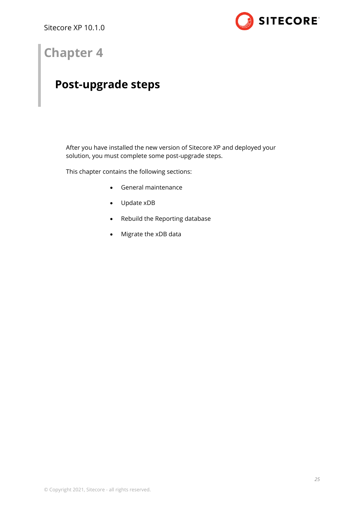

## **Chapter 4**

## <span id="page-24-0"></span>**Post-upgrade steps**

After you have installed the new version of Sitecore XP and deployed your solution, you must complete some post-upgrade steps.

This chapter contains the following sections:

- [General maintenance](#page-25-0)
- [Update](#page-27-0) xDB
- [Rebuild the Reporting database](#page-35-0)
- [Migrate the xDB data](#page-36-0)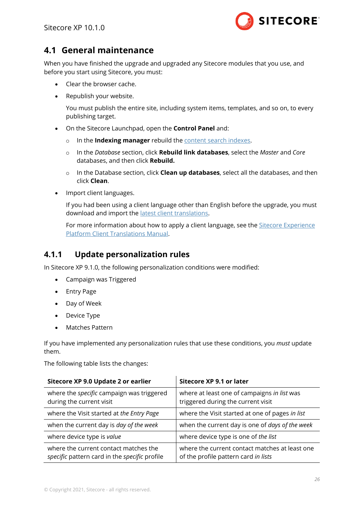

## <span id="page-25-0"></span>**4.1 General maintenance**

When you have finished the upgrade and upgraded any Sitecore modules that you use, and before you start using Sitecore, you must:

- Clear the browser cache.
- Republish your website.

You must publish the entire site, including system items, templates, and so on, to every publishing target.

- On the Sitecore Launchpad, open the **Control Panel** and:
	- o In the **Indexing manager** rebuild th[e content search indexes.](https://doc.sitecore.com/developers/101/platform-administration-and-architecture/en/walkthrough--setting-up-solr.html#UUID-c49e3e99-c717-1fa7-b788-77258c364a83_section-idm4564317166307231519696171512)
	- o In the *Database* section, click **Rebuild link databases**, select the *Master* and *Core* databases, and then click **Rebuild.**
	- o In the Database section, click **Clean up databases**, select all the databases, and then click **Clean**.
- Import client languages.

If you had been using a client language other than English before the upgrade, you must download and import the [latest client translations.](https://dev.sitecore.net/Downloads/Sitecore_Experience_Platform/101/Sitecore_Experience_Platform_101.aspx)

For more information about how to apply a client language, see the [Sitecore Experience](https://dev.sitecore.net/~/link.aspx?_id=B685CC31771E466080080239FDBEA625&_z=z)  [Platform Client Translations Manual.](https://dev.sitecore.net/~/link.aspx?_id=B685CC31771E466080080239FDBEA625&_z=z)

### <span id="page-25-1"></span>**4.1.1 Update personalization rules**

In Sitecore XP 9.1.0, the following personalization conditions were modified:

- Campaign was Triggered
- Entry Page
- Day of Week
- Device Type
- Matches Pattern

If you have implemented any personalization rules that use these conditions, you *must* update them.

The following table lists the changes:

| Sitecore XP 9.0 Update 2 or earlier                                                    | Sitecore XP 9.1 or later                                                               |
|----------------------------------------------------------------------------------------|----------------------------------------------------------------------------------------|
| where the <i>specific</i> campaign was triggered<br>during the current visit           | where at least one of campaigns in list was<br>triggered during the current visit      |
| where the Visit started at the Entry Page                                              | where the Visit started at one of pages in list                                        |
| when the current day is day of the week                                                | when the current day is one of days of the week                                        |
| where device type is value                                                             | where device type is one of the list                                                   |
| where the current contact matches the<br>specific pattern card in the specific profile | where the current contact matches at least one<br>of the profile pattern card in lists |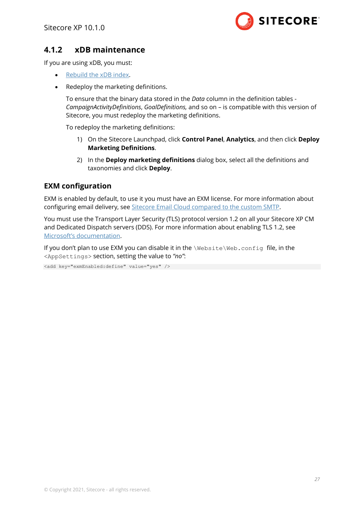

## <span id="page-26-0"></span>**4.1.2 xDB maintenance**

If you are using xDB, you must:

- [Rebuild the xDB](https://doc.sitecore.com/developers/101/sitecore-experience-platform/en/rebuilding-the-xdb-search-index.html) index.
- Redeploy the marketing definitions.

To ensure that the binary data stored in the *Data* column in the definition tables - *CampaignActivityDefinitions*, *GoalDefinitions,* and so on – is compatible with this version of Sitecore, you must redeploy the marketing definitions.

To redeploy the marketing definitions:

- 1) On the Sitecore Launchpad, click **Control Panel**, **Analytics**, and then click **Deploy Marketing Definitions**.
- 2) In the **Deploy marketing definitions** dialog box, select all the definitions and taxonomies and click **Deploy**.

#### **EXM configuration**

EXM is enabled by default, to use it you must have an EXM license. For more information about configuring email delivery, see [Sitecore Email Cloud compared to the custom SMTP.](https://doc.sitecore.com/developers/exm/100/email-experience-manager/en/the-sitecore-email-cloud-compared-to-the-custom-smtp.html)

You must use the Transport Layer Security (TLS) protocol version 1.2 on all your Sitecore XP CM and Dedicated Dispatch servers (DDS). For more information about enabling TLS 1.2, see [Microsoft's documentation](https://www.microsoft.com/en-us/download/details.aspx?id=55266).

If you don't plan to use EXM you can disable it in the \Website\Web.config file, in the <AppSettings> section, setting the value to *"no"*:

<add key="exmEnabled:define" value="yes" />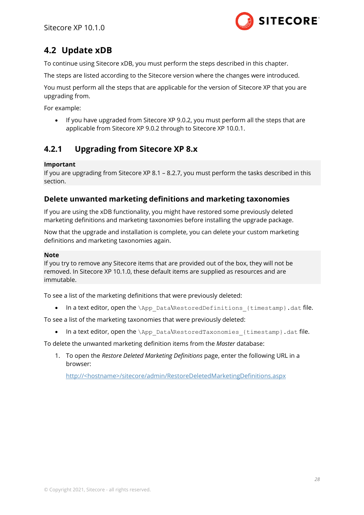

## <span id="page-27-0"></span>**4.2 Update xDB**

To continue using Sitecore xDB, you must perform the steps described in this chapter.

The steps are listed according to the Sitecore version where the changes were introduced.

You must perform all the steps that are applicable for the version of Sitecore XP that you are upgrading from.

For example:

• If you have upgraded from Sitecore XP 9.0.2, you must perform all the steps that are applicable from Sitecore XP 9.0.2 through to Sitecore XP 10.0.1.

## <span id="page-27-1"></span>**4.2.1 Upgrading from Sitecore XP 8.x**

#### **Important**

If you are upgrading from Sitecore XP 8.1 – 8.2.7, you must perform the tasks described in this section.

#### **Delete unwanted marketing definitions and marketing taxonomies**

If you are using the xDB functionality, you might have restored some previously deleted marketing definitions and marketing taxonomies before installing the upgrade package.

Now that the upgrade and installation is complete, you can delete your custom marketing definitions and marketing taxonomies again.

#### **Note**

If you try to remove any Sitecore items that are provided out of the box, they will not be removed. In Sitecore XP 10.1.0, these default items are supplied as resources and are immutable.

To see a list of the marketing definitions that were previously deleted:

In a text editor, open the \App\_Data\RestoredDefinitions {timestamp}.dat file.

To see a list of the marketing taxonomies that were previously deleted:

• In a text editor, open the \App\_Data\RestoredTaxonomies {timestamp}.dat file.

To delete the unwanted marketing definition items from the *Master* database:

1. To open the *Restore Deleted Marketing Definitions* page, enter the following URL in a browser:

http://<hostname>/sitecore/admin/RestoreDeletedMarketingDefinitions.aspx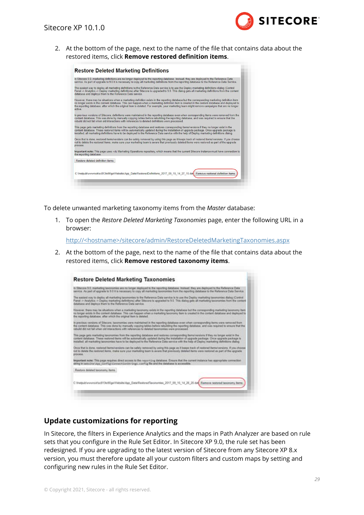

2. At the bottom of the page, next to the name of the file that contains data about the restored items, click **Remove restored definition items**.



To delete unwanted marketing taxonomy items from the *Master* database:

1. To open the *Restore Deleted Marketing Taxonomies* page, enter the following URL in a browser:

http://<hostname>/sitecore/admin/RestoreDeletedMarketingTaxonomies.aspx

2. At the bottom of the page, next to the name of the file that contains data about the restored items, click **Remove restored taxonomy items**.



#### **Update customizations for reporting**

In Sitecore, the filters in Experience Analytics and the maps in Path Analyzer are based on rule sets that you configure in the Rule Set Editor. In Sitecore XP 9.0, the rule set has been redesigned. If you are upgrading to the latest version of Sitecore from any Sitecore XP 8.x version, you must therefore update all your custom filters and custom maps by setting and configuring new rules in the Rule Set Editor.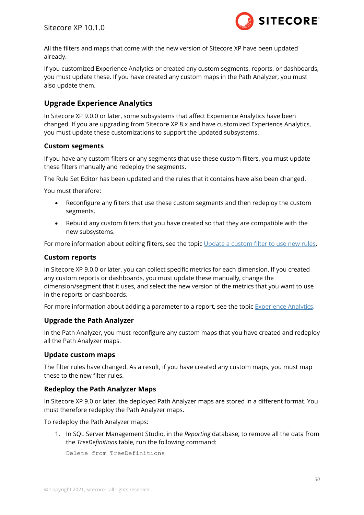

All the filters and maps that come with the new version of Sitecore XP have been updated already.

If you customized Experience Analytics or created any custom segments, reports, or dashboards, you must update these. If you have created any custom maps in the Path Analyzer, you must also update them.

### **Upgrade Experience Analytics**

In Sitecore XP 9.0.0 or later, some subsystems that affect Experience Analytics have been changed. If you are upgrading from Sitecore XP 8.x and have customized Experience Analytics, you must update these customizations to support the updated subsystems.

#### **Custom segments**

If you have any custom filters or any segments that use these custom filters, you must update these filters manually and redeploy the segments.

The Rule Set Editor has been updated and the rules that it contains have also been changed.

You must therefore:

- Reconfigure any filters that use these custom segments and then redeploy the custom segments.
- Rebuild any custom filters that you have created so that they are compatible with the new subsystems.

For more information about editing filters, see the topic [Update a custom filter to use new rules.](https://doc.sitecore.com/users/100/sitecore-experience-platform/en/update-a-custom-filter-to-use-new-rules.html)

#### **Custom reports**

In Sitecore XP 9.0.0 or later, you can collect specific metrics for each dimension. If you created any custom reports or dashboards, you must update these manually, change the dimension/segment that it uses, and select the new version of the metrics that you want to use in the reports or dashboards.

For more information about adding a parameter to a report, see the topic [Experience Analytics.](https://doc.sitecore.com/users/100/sitecore-experience-platform/en/experience-analytics.html)

#### **Upgrade the Path Analyzer**

In the Path Analyzer, you must reconfigure any custom maps that you have created and redeploy all the Path Analyzer maps.

#### **Update custom maps**

The filter rules have changed. As a result, if you have created any custom maps, you must map these to the new filter rules.

#### **Redeploy the Path Analyzer Maps**

In Sitecore XP 9.0 or later, the deployed Path Analyzer maps are stored in a different format. You must therefore redeploy the Path Analyzer maps.

To redeploy the Path Analyzer maps:

1. In SQL Server Management Studio, in the *Reporting* database, to remove all the data from the *TreeDefinitions* table, run the following command:

Delete from TreeDefinitions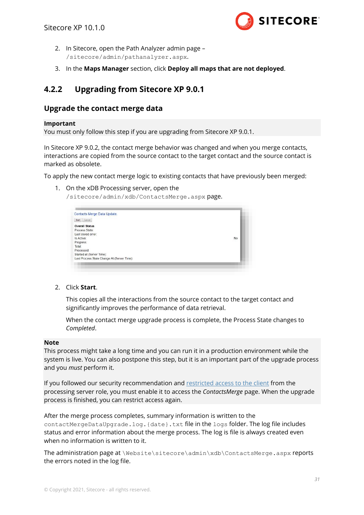

- 2. In Sitecore, open the Path Analyzer admin page /sitecore/admin/pathanalyzer.aspx.
- 3. In the **Maps Manager** section, click **Deploy all maps that are not deployed**.

## <span id="page-30-0"></span>**4.2.2 Upgrading from Sitecore XP 9.0.1**

#### **Upgrade the contact merge data**

#### **Important**

You must only follow this step if you are upgrading from Sitecore XP 9.0.1.

In Sitecore XP 9.0.2, the contact merge behavior was changed and when you merge contacts, interactions are copied from the source contact to the target contact and the source contact is marked as obsolete.

To apply the new contact merge logic to existing contacts that have previously been merged:

1. On the xDB Processing server, open the

/sitecore/admin/xdb/ContactsMerge.aspx page.

| Start Cancel                                |    |
|---------------------------------------------|----|
| <b>Overall Status</b>                       |    |
| Process State:                              |    |
| Last stored error:                          |    |
| Is Active:                                  | No |
| Progress:                                   |    |
| Total:                                      |    |
| Processed:                                  |    |
| Started at (Server Time):                   |    |
| Last Process State Change At (Server Time): |    |

2. Click **Start**.

This copies all the interactions from the source contact to the target contact and significantly improves the performance of data retrieval.

When the contact merge upgrade process is complete, the Process State changes to *Completed*.

#### **Note**

This process might take a long time and you can run it in a production environment while the system is live. You can also postpone this step, but it is an important part of the upgrade process and you *must* perform it.

If you followed our security recommendation and [restricted access to the client](https://doc.sitecore.com/developers/101/platform-administration-and-architecture/en/restrict-access-to-the-client.html) from the processing server role, you must enable it to access the *ContactsMerge* page. When the upgrade process is finished, you can restrict access again.

After the merge process completes, summary information is written to the contactMergeDataUpgrade.log.{date}.txt file in the logs folder. The log file includes status and error information about the merge process. The log is file is always created even when no information is written to it.

The administration page at \Website\sitecore\admin\xdb\ContactsMerge.aspx reports the errors noted in the log file.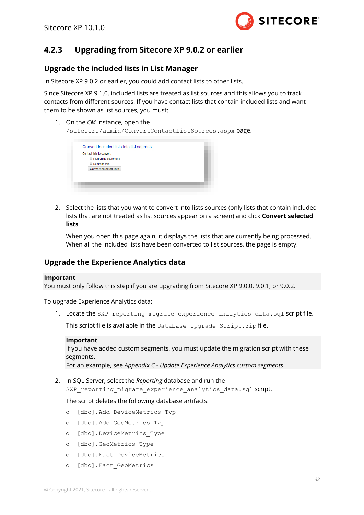

## <span id="page-31-0"></span>**4.2.3 Upgrading from Sitecore XP 9.0.2 or earlier**

#### **Upgrade the included lists in List Manager**

In Sitecore XP 9.0.2 or earlier, you could add contact lists to other lists.

Since Sitecore XP 9.1.0, included lists are treated as list sources and this allows you to track contacts from different sources. If you have contact lists that contain included lists and want them to be shown as list sources, you must:

1. On the *CM* instance, open the

/sitecore/admin/ConvertContactListSources.aspx page.

| Contact lists to convert: |                               |  |  |
|---------------------------|-------------------------------|--|--|
|                           | High value customers          |  |  |
|                           | Summer sale                   |  |  |
|                           | <b>Convert selected lists</b> |  |  |
|                           |                               |  |  |
|                           |                               |  |  |

2. Select the lists that you want to convert into lists sources (only lists that contain included lists that are not treated as list sources appear on a screen) and click **Convert selected lists**

When you open this page again, it displays the lists that are currently being processed. When all the included lists have been converted to list sources, the page is empty.

#### **Upgrade the Experience Analytics data**

#### **Important**

You must only follow this step if you are upgrading from Sitecore XP 9.0.0, 9.0.1, or 9.0.2.

To upgrade Experience Analytics data:

1. Locate the SXP reporting migrate experience analytics data.sql script file.

This script file is available in the Database Upgrade Script.zip file.

#### **Important**

If you have added custom segments, you must update the migration script with these segments.

For an example, see *Appendix C - [Update Experience Analytics custom segments](#page-45-0)*.

2. In SQL Server, select the *Reporting* database and run the SXP reporting migrate experience analytics data.sql script.

The script deletes the following database artifacts:

- o [dbo].Add\_DeviceMetrics\_Tvp
- o [dbo].Add\_GeoMetrics\_Tvp
- o [dbo].DeviceMetrics\_Type
- o [dbo].GeoMetrics\_Type
- o [dbo].Fact\_DeviceMetrics
- o [dbo].Fact\_GeoMetrics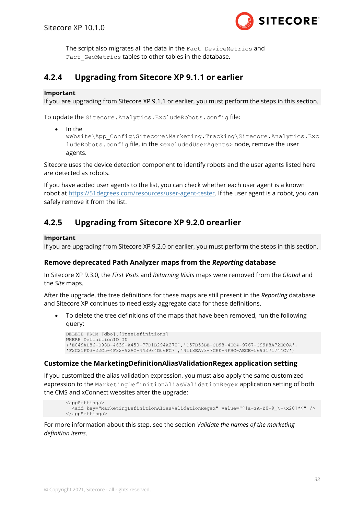

The script also migrates all the data in the Fact DeviceMetrics and Fact GeoMetrics tables to other tables in the database.

## <span id="page-32-0"></span>**4.2.4 Upgrading from Sitecore XP 9.1.1 or earlier**

#### **Important**

If you are upgrading from Sitecore XP 9.1.1 or earlier, you must perform the steps in this section.

To update the Sitecore.Analytics.ExcludeRobots.config file:

• In the

website\App\_Config\Sitecore\Marketing.Tracking\Sitecore.Analytics.Exc ludeRobots.config file, in the <excludedUserAgents> node, remove the user agents.

Sitecore uses the device detection component to identify robots and the user agents listed here are detected as robots.

If you have added user agents to the list, you can check whether each user agent is a known robot at [https://51degrees.com/resources/user-agent-tester.](https://51degrees.com/resources/user-agent-tester) If the user agent is a robot, you can safely remove it from the list.

## <span id="page-32-1"></span>**4.2.5 Upgrading from Sitecore XP 9.2.0 orearlier**

#### **Important**

If you are upgrading from Sitecore XP 9.2.0 or earlier, you must perform the steps in this section.

#### **Remove deprecated Path Analyzer maps from the** *Reporting* **database**

In Sitecore XP 9.3.0, the *First Visits* and *Returning Visits* maps were removed from the *Global* and the *Site* maps.

After the upgrade, the tree definitions for these maps are still present in the *Reporting* database and Sitecore XP continues to needlessly aggregate data for these definitions.

• To delete the tree definitions of the maps that have been removed, run the following query:

```
DELETE FROM [dbo].[TreeDefinitions]
WHERE DefinitionID IN
('E049AD86-D98B-4639-A450-77D1B294A270','D57B53BE-CD98-4EC4-9767-C99F8A72EC0A',
'F2C21FD3-22C5-4F32-92AC-443984D06FC7','4118EA73-7CEE-4FBC-AECE-5693171744C7')
```
#### **Customize the MarketingDefinitionAliasValidationRegex application setting**

If you customized the alias validation expression, you must also apply the same customized expression to the MarketingDefinitionAliasValidationRegex application setting of both the CMS and xConnect websites after the upgrade:

```
<appSettings>
   <add key="MarketingDefinitionAliasValidationRegex" value="^[a-zA-Z0-9_\-\x20]*$" />
</appSettings>
```
For more information about this step, see the section *Validate the names of the marketing definition items*.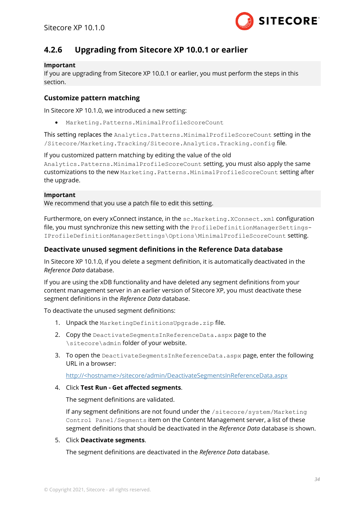

## <span id="page-33-0"></span>**4.2.6 Upgrading from Sitecore XP 10.0.1 or earlier**

#### **Important**

If you are upgrading from Sitecore XP 10.0.1 or earlier, you must perform the steps in this section.

#### **Customize pattern matching**

In Sitecore XP 10.1.0, we introduced a new setting:

• Marketing.Patterns.MinimalProfileScoreCount

This setting replaces the Analytics.Patterns.MinimalProfileScoreCount setting in the /Sitecore/Marketing.Tracking/Sitecore.Analytics.Tracking.config file.

If you customized pattern matching by editing the value of the old Analytics.Patterns.MinimalProfileScoreCount setting, you must also apply the same customizations to the new Marketing.Patterns.MinimalProfileScoreCount setting after the upgrade.

#### **Important**

We recommend that you use a patch file to edit this setting.

Furthermore, on every xConnect instance, in the sc.Marketing.XConnect.xml configuration file, you must synchronize this new setting with the ProfileDefinitionManagerSettings-IProfileDefinitionManagerSettings\Options\MinimalProfileScoreCount setting.

#### **Deactivate unused segment definitions in the Reference Data database**

In Sitecore XP 10.1.0, if you delete a segment definition, it is automatically deactivated in the *Reference Data* database.

If you are using the xDB functionality and have deleted any segment definitions from your content management server in an earlier version of Sitecore XP, you must deactivate these segment definitions in the *Reference Data* database.

To deactivate the unused segment definitions:

- 1. Unpack the MarketingDefinitionsUpgrade.zip file.
- 2. Copy the DeactivateSegmentsInReferenceData.aspx page to the \sitecore\admin folder of your website.
- 3. To open the DeactivateSegmentsInReferenceData.aspx page, enter the following URL in a browser:

http://<hostname>/sitecore/admin/DeactivateSegmentsInReferenceData.aspx

4. Click **Test Run - Get affected segments**.

The segment definitions are validated.

If any segment definitions are not found under the /sitecore/system/Marketing Control Panel/Segments item on the Content Management server, a list of these segment definitions that should be deactivated in the *Reference Data* database is shown.

#### 5. Click **Deactivate segments**.

The segment definitions are deactivated in the *Reference Data* database.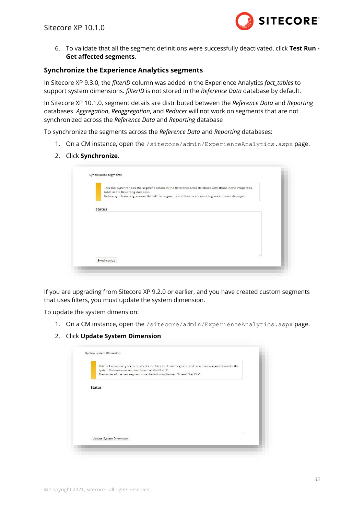

6. To validate that all the segment definitions were successfully deactivated, click **Test Run - Get affected segments**.

#### **Synchronize the Experience Analytics segments**

In Sitecore XP 9.3.0, the *filterID* column was added in the Experience Analytics *fact\_tables* to support system dimensions. *filterID* is not stored in the *Reference Data* database by default.

In Sitecore XP 10.1.0, segment details are distributed between the *Reference Data* and *Reporting* databases. *Aggregation*, *Reaggregation*, and *Reducer* will not work on segments that are not synchronized across the *Reference Data* and *Reporting* database

To synchronize the segments across the *Reference Data* and *Reporting* databases:

- 1. On a CM instance, open the /sitecore/admin/ExperienceAnalytics.aspx page.
- 2. Click **Synchronize**.

|                                  |                                                                                                   | This tool synchronizes the segment details in the Reference Data database with those in the Properties |
|----------------------------------|---------------------------------------------------------------------------------------------------|--------------------------------------------------------------------------------------------------------|
| table in the Reporting database. |                                                                                                   |                                                                                                        |
|                                  | Before synchronizing, ensure that all the segments and their corresponding versions are deployed. |                                                                                                        |
|                                  |                                                                                                   |                                                                                                        |
|                                  |                                                                                                   |                                                                                                        |
| <b>Status</b>                    |                                                                                                   |                                                                                                        |
|                                  |                                                                                                   |                                                                                                        |
|                                  |                                                                                                   |                                                                                                        |
|                                  |                                                                                                   |                                                                                                        |
|                                  |                                                                                                   |                                                                                                        |
|                                  |                                                                                                   |                                                                                                        |
|                                  |                                                                                                   |                                                                                                        |
|                                  |                                                                                                   |                                                                                                        |
|                                  |                                                                                                   |                                                                                                        |
|                                  |                                                                                                   |                                                                                                        |
|                                  |                                                                                                   |                                                                                                        |

If you are upgrading from Sitecore XP 9.2.0 or earlier, and you have created custom segments that uses filters, you must update the system dimension.

To update the system dimension:

- 1. On a CM instance, open the /sitecore/admin/ExperienceAnalytics.aspx page.
- 2. Click **Update System Dimension**

|               | This tool scans every segment, checks the filter ID of each segment, and creates new segments under the |
|---------------|---------------------------------------------------------------------------------------------------------|
|               | System Dimension as required based on the filter ID.                                                    |
|               | The names of the new segments use the following format: "filter-< filterID >".                          |
|               |                                                                                                         |
| <b>Status</b> |                                                                                                         |
|               |                                                                                                         |
|               |                                                                                                         |
|               |                                                                                                         |
|               |                                                                                                         |
|               |                                                                                                         |
|               |                                                                                                         |
|               |                                                                                                         |
|               |                                                                                                         |
|               |                                                                                                         |
|               |                                                                                                         |
|               | Update System Dimension                                                                                 |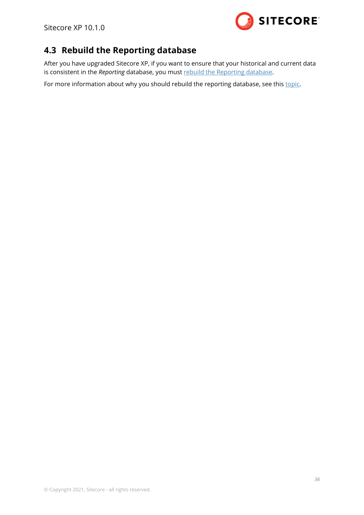

## <span id="page-35-0"></span>**4.3 Rebuild the Reporting database**

After you have upgraded Sitecore XP, if you want to ensure that your historical and current data is consistent in the *Reporting* database, you mus[t rebuild the Reporting database.](https://doc.sitecore.com/developers/101/sitecore-experience-platform/en/rebuild-the-reporting-database.html)

For more information about why you should rebuild the reporting database, see this [topic.](https://doc.sitecore.com/developers/81/sitecore-experience-platform/en/reasons-for-rebuilding-the-reporting-database.html#:~:text=You%20should%20rebuild%20the%20reporting,reports%20that%20use%20older%20data)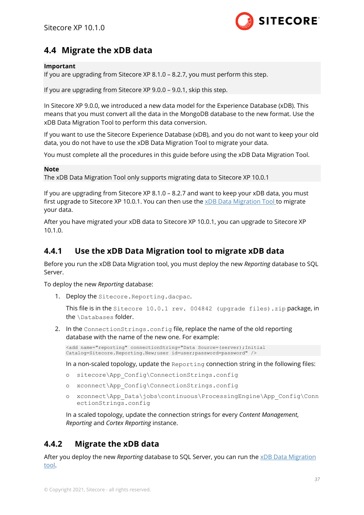

## <span id="page-36-0"></span>**4.4 Migrate the xDB data**

#### **Important**

If you are upgrading from Sitecore XP 8.1.0 – 8.2.7, you must perform this step.

If you are upgrading from Sitecore XP 9.0.0 – 9.0.1, skip this step.

In Sitecore XP 9.0.0, we introduced a new data model for the Experience Database (xDB). This means that you must convert all the data in the MongoDB database to the new format. Use the xDB Data Migration Tool to perform this data conversion.

If you want to use the Sitecore Experience Database (xDB), and you do not want to keep your old data, you do not have to use the xDB Data Migration Tool to migrate your data.

You must complete all the procedures in this guide before using the xDB Data Migration Tool.

#### **Note**

The xDB Data Migration Tool only supports migrating data to Sitecore XP 10.0.1

If you are upgrading from Sitecore XP 8.1.0 – 8.2.7 and want to keep your xDB data, you must first upgrade to Sitecore XP 10.0.1. You can then use the [xDB Data Migration Tool](https://dev.sitecore.net/Downloads/Sitecore_xDB_Data_Migration_Tool.aspx) to migrate your data.

After you have migrated your xDB data to Sitecore XP 10.0.1, you can upgrade to Sitecore XP 10.1.0.

## <span id="page-36-1"></span>**4.4.1 Use the xDB Data Migration tool to migrate xDB data**

Before you run the xDB Data Migration tool, you must deploy the new *Reporting* database to SQL Server.

To deploy the new *Reporting* database:

1. Deploy the Sitecore.Reporting.dacpac.

This file is in the Sitecore 10.0.1 rev. 004842 (upgrade files).zip package, in the \Databases folder.

2. In the ConnectionStrings.config file, replace the name of the old reporting database with the name of the new one. For example:

```
<add name="reporting" connectionString="Data Source=(server);Initial 
Catalog=Sitecore.Reporting.New;user id=user;password=password" />
```
In a non-scaled topology, update the Reporting connection string in the following files:

- o sitecore\App\_Config\ConnectionStrings.config
- o xconnect\App\_Config\ConnectionStrings.config
- o xconnect\App\_Data\jobs\continuous\ProcessingEngine\App\_Config\Conn ectionStrings.config

In a scaled topology, update the connection strings for every *Content Management*, *Reporting* and *Cortex Reporting* instance.

## <span id="page-36-2"></span>**4.4.2 Migrate the xDB data**

After you deploy the new *Reporting* database to SQL Server, you can run the [xDB Data Migration](https://dev.sitecore.net/Downloads/Sitecore_xDB_Data_Migration_Tool.aspx)  [tool.](https://dev.sitecore.net/Downloads/Sitecore_xDB_Data_Migration_Tool.aspx)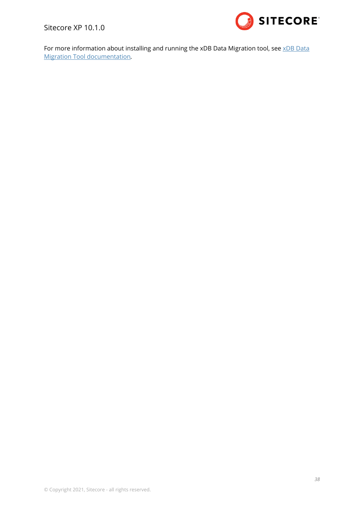Sitecore XP 10.1.0



For more information about installing and running th[e xDB Data](https://doc.sitecore.com/developers/dmt/50/xdb-data-migration-tool/en/index-en.html) Migration tool, see xDB Data [Migration Tool documentation](https://doc.sitecore.com/developers/dmt/50/xdb-data-migration-tool/en/index-en.html)*.*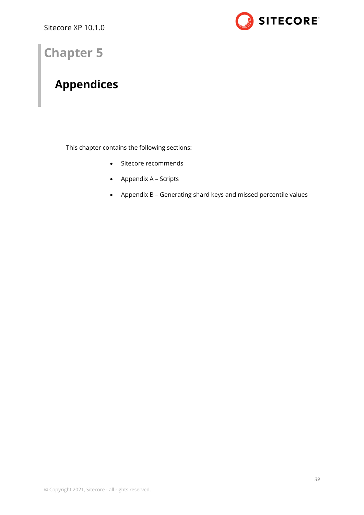

## **Chapter 5**

## <span id="page-38-0"></span>**Appendices**

This chapter contains the following sections:

- [Sitecore recommends](#page-39-0)
- [Appendix A](#page-41-0) Scripts
- Appendix B Generating [shard keys and missed percentile values](#page-42-0)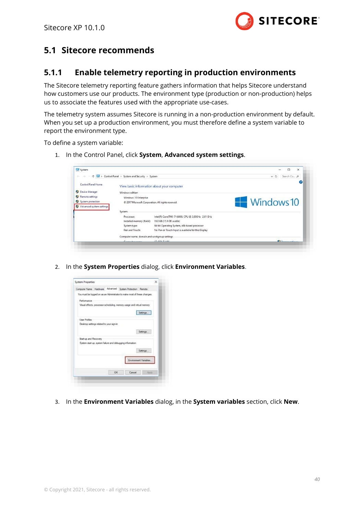

## <span id="page-39-1"></span><span id="page-39-0"></span>**5.1 Sitecore recommends**

### **5.1.1 Enable telemetry reporting in production environments**

The Sitecore telemetry reporting feature gathers information that helps Sitecore understand how customers use our products. The environment type (production or non-production) helps us to associate the features used with the appropriate use-cases.

The telemetry system assumes Sitecore is running in a non-production environment by default. When you set up a production environment, you must therefore define a system variable to report the environment type.

To define a system variable:

1. In the Control Panel, click **System**, **Advanced system settings**.

| System                   |                                                    |                                                     |            | $\times$         |
|--------------------------|----------------------------------------------------|-----------------------------------------------------|------------|------------------|
| c.<br>办                  | > Control Panel > System and Security > System     |                                                     | $\vee$ 0   | Search Co., p    |
| Control Panel Home       | View basic information about your computer         |                                                     |            |                  |
| Device Manager<br>o      | Windows edition                                    |                                                     |            |                  |
| Remote settings<br>o     | Windows 10 Enterprise                              |                                                     |            |                  |
| System protection<br>Φ   | C 2017 Microsoft Corporation. All rights reserved. |                                                     | Windows 10 |                  |
| Advanced system settings |                                                    |                                                     |            |                  |
|                          | System                                             |                                                     |            |                  |
|                          | Processor:                                         | Intel(R) Core(TM) i7-6600U CPU @ 2.60GHz 2.81 GHz   |            |                  |
|                          | Installed memory (RAM):                            | 16.0 GB (15.9 GB usable)                            |            |                  |
|                          | System type:                                       | 64-bit Operating System, x64-based processor        |            |                  |
|                          | Pen and Touch:                                     | No Pen or Touch Input is available for this Display |            |                  |
|                          | Computer name, domain and workgroup settings       |                                                     |            |                  |
|                          | Cannabarnana                                       | IT COUT LES                                         |            | <b>Christmas</b> |

2. In the **System Properties** dialog, click **Environment Variables**.

| <b>System Properties</b>                                                 |    |        |                        | $\times$ |
|--------------------------------------------------------------------------|----|--------|------------------------|----------|
| Computer Name Hardware Advanced System Protection Remote                 |    |        |                        |          |
| You must be logged on as an Administrator to make most of these changes. |    |        |                        |          |
| Performance                                                              |    |        |                        |          |
| Visual effects, processor scheduling, memory usage and virtual memory    |    |        |                        |          |
|                                                                          |    |        | Settings               |          |
|                                                                          |    |        |                        |          |
| <b>User Profiles</b>                                                     |    |        |                        |          |
| Desktop settings related to your sign-in                                 |    |        |                        |          |
|                                                                          |    |        |                        |          |
|                                                                          |    |        | Settings               |          |
| Start-up and Recovery                                                    |    |        |                        |          |
| System start-up, system failure and debugging information                |    |        |                        |          |
|                                                                          |    |        | Settings               |          |
|                                                                          |    |        |                        |          |
|                                                                          |    |        |                        |          |
|                                                                          |    |        |                        |          |
|                                                                          |    |        | Environment Variables. |          |
|                                                                          |    |        |                        |          |
|                                                                          | OK | Cancel | Apply                  |          |

3. In the **Environment Variables** dialog, in the **System variables** section, click **New**.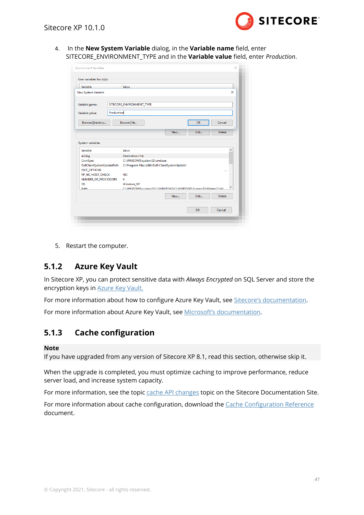

4. In the **New System Variable** dialog, in the **Variable name** field, enter SITECORE\_ENVIRONMENT\_TYPE and in the **Variable value** field, enter *Production*.

| Variable                                                                                                                         | Value                                                                          |     |      |             |
|----------------------------------------------------------------------------------------------------------------------------------|--------------------------------------------------------------------------------|-----|------|-------------|
| New System Variable                                                                                                              |                                                                                |     |      | $\times$    |
| Variable name:                                                                                                                   | SITECORE_ENVIRONMENT_TYPE                                                      |     |      |             |
| Production<br>Variable value:                                                                                                    |                                                                                |     |      |             |
| Browse Directory                                                                                                                 | Browse Eile                                                                    |     | OK   | Cancel      |
|                                                                                                                                  |                                                                                | New | Edit | i<br>Delete |
| System variables<br>Variable                                                                                                     | Value                                                                          |     |      | ^           |
|                                                                                                                                  |                                                                                |     |      |             |
|                                                                                                                                  |                                                                                |     |      |             |
|                                                                                                                                  | Destination=file                                                               |     |      |             |
|                                                                                                                                  | C:\WINDOWS\system32\cmd.exe<br>C:\Program Files (x86)\Dell\ClientSystemUpdate\ |     |      |             |
|                                                                                                                                  | <b>NO</b>                                                                      |     |      | $\cdots$    |
|                                                                                                                                  | 4                                                                              |     |      |             |
|                                                                                                                                  | <b>Windows NT</b>                                                              |     |      |             |
| Dath                                                                                                                             | CAMINDOMS\cyctam32-CAMINDOMS-CAMINDOMS\Svctam32\Whem-CAMI                      |     |      |             |
|                                                                                                                                  |                                                                                | New | Edit | Delete      |
| asl.log<br>ComSpec<br>DellClientSystemUpdatePath<br><b>ESET OPTIONS</b><br>FP_NO_HOST_CHECK<br>NUMBER OF PROCESSORS<br><b>OS</b> |                                                                                |     |      |             |

5. Restart the computer.

## <span id="page-40-0"></span>**5.1.2 Azure Key Vault**

In Sitecore XP, you can protect sensitive data with *Always Encrypted* on SQL Server and store the encryption keys in [Azure Key Vault.](https://docs.microsoft.com/en-us/azure/sql-database/sql-database-always-encrypted-azure-key-vault)

For more information about how to configure Azure Key Vault, see [Sitecore's documentation](https://doc.sitecore.com/developers/93/sitecore-experience-manager/en/configure-azure-key-vault.html).

<span id="page-40-1"></span>For more information about Azure Key Vault, see [Microsoft's documentation](https://azure.microsoft.com/en-us/services/key-vault/).

## **5.1.3 Cache configuration**

#### **Note**

If you have upgraded from any version of Sitecore XP 8.1, read this section, otherwise skip it.

When the upgrade is completed, you must optimize caching to improve performance, reduce server load, and increase system capacity.

For more information, see the topic [cache API changes](https://doc.sitecore.com/developers/82/sitecore-experience-platform/en/cache-api-changes.html) topic on the Sitecore Documentation Site.

For more information about cache configuration, download the [Cache Configuration Reference](https://doc.sitecore.com/legacy-docs/sitecore-cms-6.6-docs.zip) document.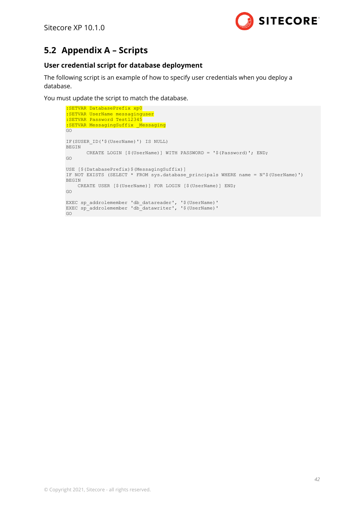

## <span id="page-41-0"></span>**5.2 Appendix A – Scripts**

#### **User credential script for database deployment**

The following script is an example of how to specify user credentials when you deploy a database.

You must update the script to match the database.

```
:SETVAR DatabasePrefix xp0
:SETVAR UserName messaginguser
:SETVAR Password Test12345
:SETVAR MessagingSuffix Messaging
GO
IF(SUSER_ID('$(UserName)') IS NULL) 
BEGIN 
        CREATE LOGIN [$(UserName)] WITH PASSWORD = '$(Password)'; END; 
GO 
USE [$(DatabasePrefix)$(MessagingSuffix)]
IF NOT EXISTS (SELECT * FROM sys.database_principals WHERE name = N'$(UserName)') 
BEGIN 
    CREATE USER [$(UserName)] FOR LOGIN [$(UserName)] END; 
GO
EXEC sp_addrolemember 'db_datareader', '$(UserName)'
EXEC sp_addrolemember 'db_datawriter', '$(UserName)'
GO
```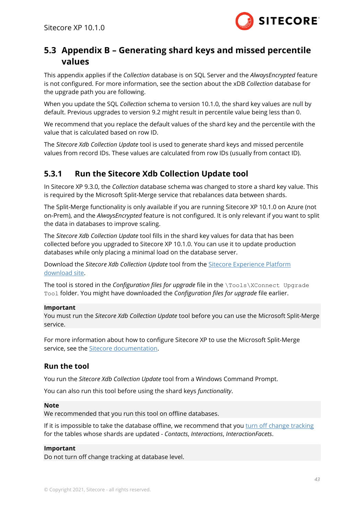

## <span id="page-42-0"></span>**5.3 Appendix B – Generating shard keys and missed percentile values**

This appendix applies if the *Collection* database is on SQL Server and the *[AlwaysEncrypted](https://docs.microsoft.com/en-us/sql/relational-databases/security/encryption/always-encrypted-database-engine?view=sql-server-2017)* feature is not configured. For more information, see the section about the xDB *Collection* database for the upgrade path you are following.

When you update the SQL *Collection* schema to version 10.1.0, the shard key values are null by default. Previous upgrades to version 9.2 might result in percentile value being less than 0.

We recommend that you replace the default values of the shard key and the percentile with the value that is calculated based on row ID.

The *Sitecore Xdb Collection Update* tool is used to generate shard keys and missed percentile values from record IDs. These values are calculated from row IDs (usually from contact ID).

## <span id="page-42-1"></span>**5.3.1 Run the Sitecore Xdb Collection Update tool**

In Sitecore XP 9.3.0, the *Collection* database schema was changed to store a shard key value. This is required by the Microsoft Split-Merge service that rebalances data between shards.

The Split-Merge functionality is only available if you are running Sitecore XP 10.1.0 on Azure (not on-Prem), and the *AlwaysEncrypted* feature is not configured. It is only relevant if you want to split the data in databases to improve scaling.

The *Sitecore Xdb Collection Update* tool fills in the shard key values for data that has been collected before you upgraded to Sitecore XP 10.1.0. You can use it to update production databases while only placing a minimal load on the database server.

Download the *Sitecore Xdb Collection Update* tool from the [Sitecore Experience Platform](https://dev.sitecore.net/Downloads/Sitecore_Experience_Platform/101/Sitecore_Experience_Platform_101.aspx)  [download site.](https://dev.sitecore.net/Downloads/Sitecore_Experience_Platform/101/Sitecore_Experience_Platform_101.aspx)

The tool is stored in the *Configuration files for upgrade* file in the \Tools\XConnect Upgrade Tool folder. You might have downloaded the *Configuration files for upgrade* file earlier.

#### **Important**

You must run the *Sitecore Xdb Collection Update* tool before you can use the Microsoft Split-Merge service.

For more information about how to configure Sitecore XP to use the Microsoft Split-Merge service, see the [Sitecore documentation.](https://doc.sitecore.com/developers/101/platform-administration-and-architecture/en/split-or-merge-xdb-collection-database-shards.html)

### **Run the tool**

You run the *Sitecore Xdb Collection Update* tool from a Windows Command Prompt.

You can also run this tool before using the shard keys *functionality*.

#### **Note**

We recommended that you run this tool on offline databases.

If it is impossible to take the database offline, we recommend that yo[u turn off change tracking](https://docs.microsoft.com/en-us/sql/relational-databases/track-changes/enable-and-disable-change-tracking-sql-server?view=sql-server-2017) for the tables whose shards are updated - *Contacts*, *Interactions*, *InteractionFacets*.

#### **Important**

Do not turn off change tracking at database level.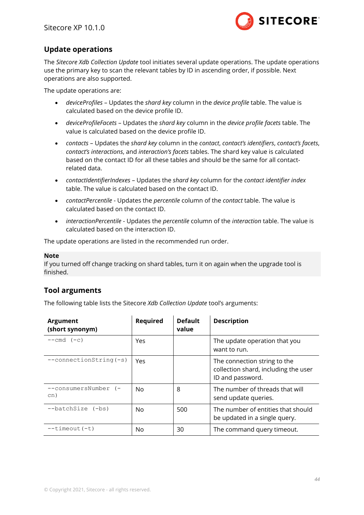

### **Update operations**

The *Sitecore Xdb Collection Update* tool initiates several update operations. The update operations use the primary key to scan the relevant tables by ID in ascending order, if possible. Next operations are also supported.

The update operations are:

- *deviceProfiles* Updates the *shard key* column in the *device profile* table. The value is calculated based on the device profile ID.
- *deviceProfileFacets* Updates the *shard key* column in the *device profile facets* table. The value is calculated based on the device profile ID.
- *contacts* Updates the *shard key* column in the *contact*, *contact's identifiers*, *contact's facets*, *contact's interactions*, and *interaction's facets* tables. The shard key value is calculated based on the contact ID for all these tables and should be the same for all contactrelated data.
- *contactIdentifierIndexes* Updates the *shard key* column for the *contact identifier index* table. The value is calculated based on the contact ID.
- *contactPercentile* Updates the *percentile* column of the *contact* table. The value is calculated based on the contact ID.
- *interactionPercentile* Updates the *percentile* column of the *interaction* table. The value is calculated based on the interaction ID.

The update operations are listed in the recommended run order.

#### **Note**

If you turned off change tracking on shard tables, turn it on again when the upgrade tool is finished.

#### **Tool arguments**

The following table lists the Sitecore *Xdb Collection Update* tool's arguments:

| <b>Argument</b><br>(short synonym) | Required       | <b>Default</b><br>value | <b>Description</b>                                                                       |
|------------------------------------|----------------|-------------------------|------------------------------------------------------------------------------------------|
| $---cmd (-c)$                      | Yes            |                         | The update operation that you<br>want to run.                                            |
| $--connectionString(-s)$           | Yes            |                         | The connection string to the<br>collection shard, including the user<br>ID and password. |
| --consumersNumber (-<br>cn)        | No.            | 8                       | The number of threads that will<br>send update queries.                                  |
| --batchSize (-bs)                  | N <sub>0</sub> | 500                     | The number of entities that should<br>be updated in a single query.                      |
| $--timeout(-t)$                    | No             | 30                      | The command query timeout.                                                               |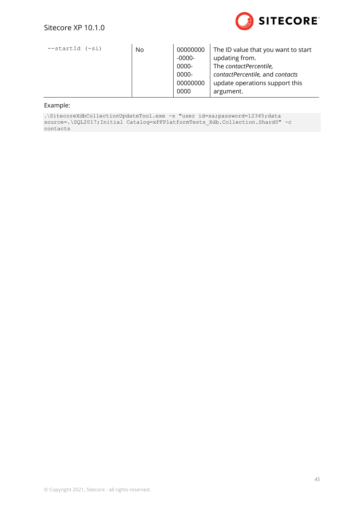

| No | 00000000 | The ID value that you want to start |
|----|----------|-------------------------------------|
|    | -0000-   | updating from.                      |
|    | 0000-    | The contactPercentile,              |
|    | 0000-    | contactPercentile, and contacts     |
|    | 00000000 | update operations support this      |
|    | 0000     | argument.                           |
|    |          |                                     |

#### Example:

.\SitecoreXdbCollectionUpdateTool.exe -s "user id=sa;password=12345;data source=.\SQL2017;Initial Catalog=xPFPlatformTests Xdb.Collection.Shard0" -c contacts